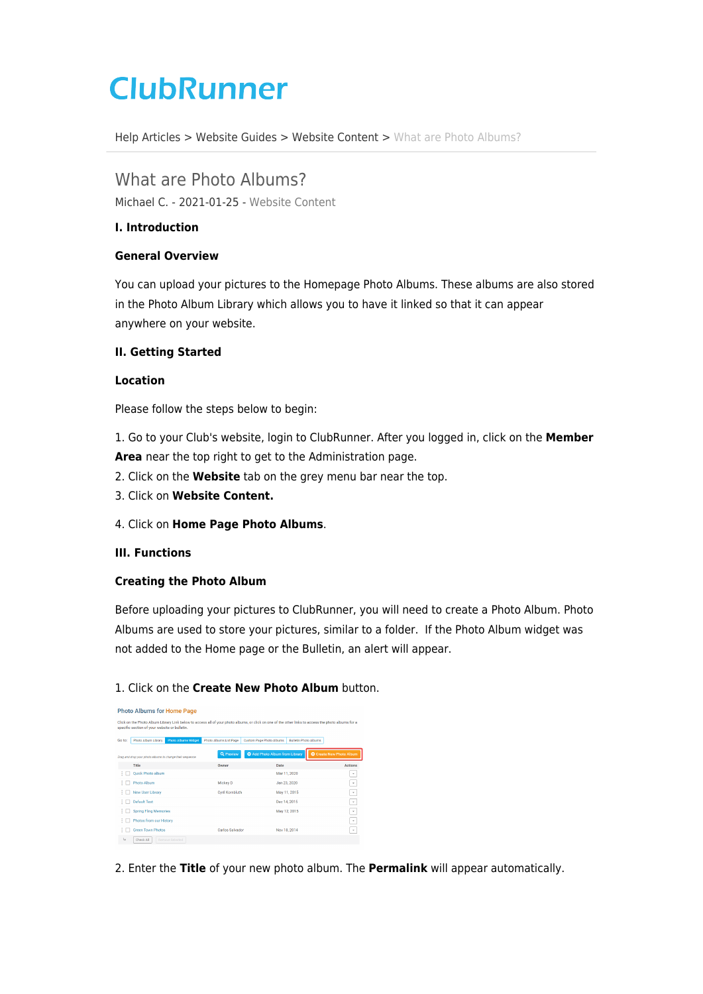# **ClubRunner**

[Help Articles](https://www.clubrunnersupport.com/kb) > [Website Guides](https://www.clubrunnersupport.com/kb/website-guides) > [Website Content](https://www.clubrunnersupport.com/kb/website-content) > [What are Photo Albums?](https://www.clubrunnersupport.com/kb/articles/what-are-photo-albums)

What are Photo Albums? Michael C. - 2021-01-25 - [Website Content](https://www.clubrunnersupport.com/kb/website-content)

# **I. Introduction**

# **General Overview**

You can upload your pictures to the Homepage Photo Albums. These albums are also stored in the Photo Album Library which allows you to have it linked so that it can appear anywhere on your website.

# **II. Getting Started**

## **Location**

Please follow the steps below to begin:

1. Go to your Club's website, login to ClubRunner. After you logged in, click on the **Member Area** near the top right to get to the Administration page.

- 2. Click on the **Website** tab on the grey menu bar near the top.
- 3. Click on **Website Content.**
- 4. Click on **Home Page Photo Albums**.

## **III. Functions**

## **Creating the Photo Album**

Before uploading your pictures to ClubRunner, you will need to create a Photo Album. Photo Albums are used to store your pictures, similar to a folder. If the Photo Album widget was not added to the Home page or the Bulletin, an alert will appear.

# 1. Click on the **Create New Photo Album** button.

| <b>Photo Albums for Home Page</b> |                                                                                                                                                                                                      |                            |                        |                              |                              |                                 |  |
|-----------------------------------|------------------------------------------------------------------------------------------------------------------------------------------------------------------------------------------------------|----------------------------|------------------------|------------------------------|------------------------------|---------------------------------|--|
|                                   | Click on the Photo Album Library Link below to access all of your photo albums, or click on one of the other links to access the photo albums for a<br>specific section of your website or bulletin. |                            |                        |                              |                              |                                 |  |
| Go to:                            | Photo Album Library                                                                                                                                                                                  | <b>Photo Albums Widget</b> | Photo Albums List Page | Custom Page Photo Albums     | <b>Rulletin Photo Albums</b> |                                 |  |
|                                   | Drag and drop your photo albums to change their sequence.                                                                                                                                            |                            | Q Preview              | Add Photo Album from Library |                              | <b>O</b> Create New Photo Album |  |
|                                   | Title                                                                                                                                                                                                |                            | Owner                  | Date                         |                              | Actions                         |  |
| ٠                                 | <b>Ouick Photo album</b>                                                                                                                                                                             |                            |                        | Mar 11, 2020                 |                              | $\checkmark$                    |  |
| ÷                                 | Photo Album                                                                                                                                                                                          |                            | Mickey D               | Jan 23, 2020                 |                              | ٠                               |  |
| ÷                                 | New User Library                                                                                                                                                                                     |                            | <b>Cyril Kornbluth</b> |                              | May 11, 2015                 | ۰                               |  |
| ÷                                 | Default Test                                                                                                                                                                                         |                            |                        | Dec 14, 2015                 |                              | $\check{\phantom{a}}$           |  |
| ٠                                 | <b>Spring Fling Memories</b>                                                                                                                                                                         |                            |                        | May 12, 2015                 |                              | $\;$                            |  |
| ÷                                 | Photos from our History                                                                                                                                                                              |                            |                        |                              |                              | ۰                               |  |
| ÷                                 | <b>Green Town Photos</b>                                                                                                                                                                             |                            | Carlos Salvador        | Nov 18, 2014                 |                              | ۰                               |  |
| Ц                                 | Check All                                                                                                                                                                                            | Remove Selected            |                        |                              |                              |                                 |  |

2. Enter the **Title** of your new photo album. The **Permalink** will appear automatically.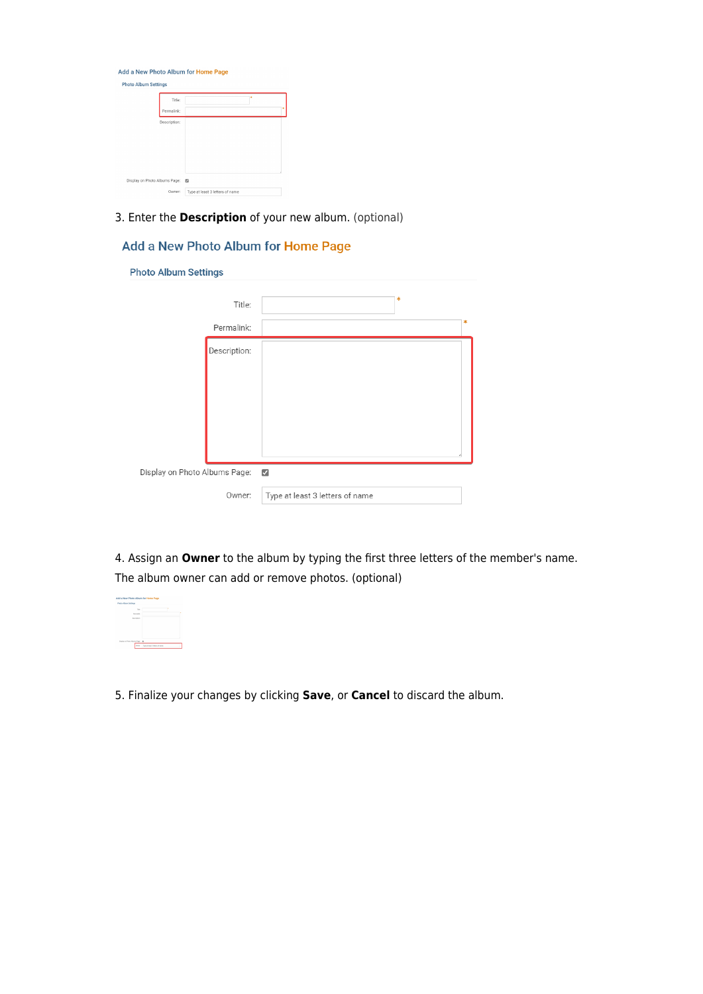| <b>Photo Album Settings</b> |              |   |  |
|-----------------------------|--------------|---|--|
|                             | Title:       | ٠ |  |
|                             | Permalink:   |   |  |
|                             | Description: |   |  |
|                             |              |   |  |
|                             |              |   |  |
|                             |              |   |  |
|                             |              |   |  |
|                             |              |   |  |

3. Enter the **Description** of your new album. (optional)

# Add a New Photo Album for Home Page

**Photo Album Settings** 

|                                                          | Title:       |                                 | $\ast$ |   |
|----------------------------------------------------------|--------------|---------------------------------|--------|---|
|                                                          | Permalink:   |                                 |        | ∗ |
|                                                          | Description: |                                 |        |   |
|                                                          |              |                                 |        |   |
|                                                          |              |                                 |        |   |
|                                                          |              |                                 |        |   |
|                                                          |              |                                 |        |   |
|                                                          |              |                                 |        |   |
| Display on Photo Albums Page:<br>$\overline{\checkmark}$ |              |                                 |        |   |
|                                                          | Owner:       | Type at least 3 letters of name |        |   |

4. Assign an **Owner** to the album by typing the first three letters of the member's name. The album owner can add or remove photos. (optional)



5. Finalize your changes by clicking **Save**, or **Cancel** to discard the album.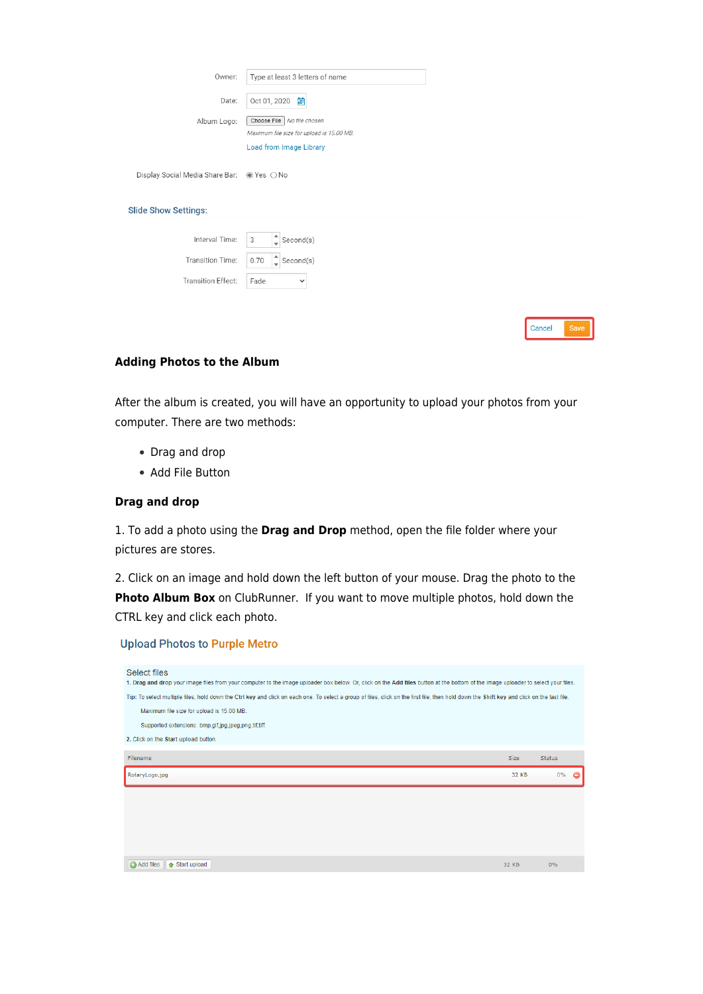| Owner:                                     | Type at least 3 letters of name           |        |      |
|--------------------------------------------|-------------------------------------------|--------|------|
| Date:                                      | 爵<br>Oct 01, 2020                         |        |      |
| Album Logo:                                | Choose File<br>No file chosen             |        |      |
|                                            | Maximum file size for upload is 15.00 MB. |        |      |
|                                            | <b>Load from Image Library</b>            |        |      |
| Display Social Media Share Bar: @ Yes O No |                                           |        |      |
| <b>Slide Show Settings:</b>                |                                           |        |      |
|                                            |                                           |        |      |
| Interval Time:                             | 3<br>Second(s)                            |        |      |
| Transition Time:                           | $\frac{4}{x}$ Second(s)<br>0.70           |        |      |
| Transition Effect:                         | Fade<br>$\checkmark$                      |        |      |
|                                            |                                           |        |      |
|                                            |                                           |        |      |
|                                            |                                           | Cancel | Save |

### **Adding Photos to the Album**

After the album is created, you will have an opportunity to upload your photos from your computer. There are two methods:

- Drag and drop
- Add File Button

## **Drag and drop**

1. To add a photo using the **Drag and Drop** method, open the file folder where your pictures are stores.

2. Click on an image and hold down the left button of your mouse. Drag the photo to the **Photo Album Box** on ClubRunner. If you want to move multiple photos, hold down the CTRL key and click each photo.

### **Upload Photos to Purple Metro**

| Select files<br>1. Drag and drop your image files from your computer to the image uploader box below. Or, click on the Add files button at the bottom of the image uploader to select your files. |             |                    |  |  |  |  |
|---------------------------------------------------------------------------------------------------------------------------------------------------------------------------------------------------|-------------|--------------------|--|--|--|--|
| Tip: To select multiple files, hold down the Ctrl key and click on each one. To select a group of files, click on the first file, then hold down the Shift key and click on the last file.        |             |                    |  |  |  |  |
| Maximum file size for upload is 15.00 MB.                                                                                                                                                         |             |                    |  |  |  |  |
| Supported extensions: bmp,gif,jpg,jpeg,png,tif,tiff.                                                                                                                                              |             |                    |  |  |  |  |
| 2. Click on the Start upload button.                                                                                                                                                              |             |                    |  |  |  |  |
|                                                                                                                                                                                                   |             |                    |  |  |  |  |
| Filename                                                                                                                                                                                          | <b>Size</b> | <b>Status</b>      |  |  |  |  |
| RotaryLogo.jpg                                                                                                                                                                                    | 32 KB       | $0\%$<br>$\bullet$ |  |  |  |  |
|                                                                                                                                                                                                   |             |                    |  |  |  |  |
|                                                                                                                                                                                                   |             |                    |  |  |  |  |
|                                                                                                                                                                                                   |             |                    |  |  |  |  |
|                                                                                                                                                                                                   |             |                    |  |  |  |  |
|                                                                                                                                                                                                   |             |                    |  |  |  |  |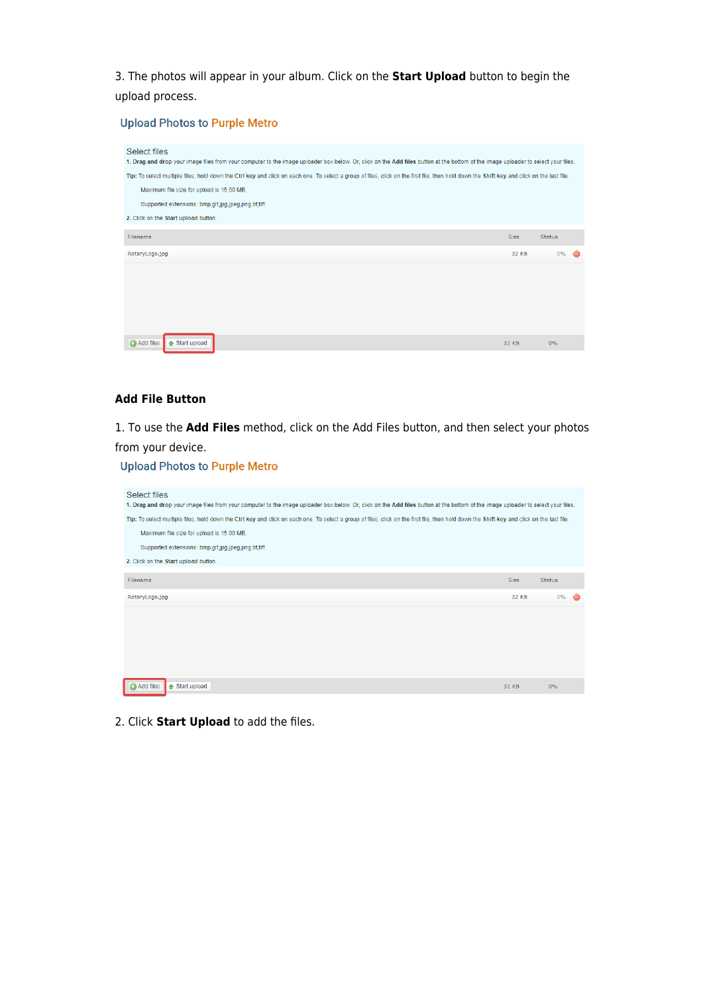3. The photos will appear in your album. Click on the **Start Upload** button to begin the upload process.

## **Upload Photos to Purple Metro**

| Select files<br>1. Drag and drop your image files from your computer to the image uploader box below. Or, click on the Add files button at the bottom of the image uploader to select your files. |             |               |   |
|---------------------------------------------------------------------------------------------------------------------------------------------------------------------------------------------------|-------------|---------------|---|
| Tip: To select multiple files, hold down the Ctrl key and click on each one. To select a group of files, click on the first file, then hold down the Shift key and click on the last file.        |             |               |   |
| Maximum file size for upload is 15.00 MB.                                                                                                                                                         |             |               |   |
| Supported extensions: bmp,gif,jpg,jpeg,png,tif,tiff.                                                                                                                                              |             |               |   |
| 2. Click on the Start upload button.                                                                                                                                                              |             |               |   |
| Filename                                                                                                                                                                                          | <b>Size</b> | <b>Status</b> |   |
| RotaryLogo.jpg                                                                                                                                                                                    | 32 KB       | $0\%$         | a |
|                                                                                                                                                                                                   |             |               |   |
|                                                                                                                                                                                                   |             |               |   |
|                                                                                                                                                                                                   |             |               |   |
| Add files<br>↑ Start upload                                                                                                                                                                       | 32 KB       | 0%            |   |
|                                                                                                                                                                                                   |             |               |   |

# **Add File Button**

1. To use the **Add Files** method, click on the Add Files button, and then select your photos from your device.

### **Upload Photos to Purple Metro**

| Select files<br>1. Drag and drop your image files from your computer to the image uploader box below. Or, click on the Add files button at the bottom of the image uploader to select your files. |                                                                                                                                                                                            |                    |  |  |  |  |  |
|---------------------------------------------------------------------------------------------------------------------------------------------------------------------------------------------------|--------------------------------------------------------------------------------------------------------------------------------------------------------------------------------------------|--------------------|--|--|--|--|--|
|                                                                                                                                                                                                   | Tip: To select multiple files, hold down the Ctrl key and click on each one. To select a group of files, click on the first file, then hold down the Shift key and click on the last file. |                    |  |  |  |  |  |
| Maximum file size for upload is 15.00 MB.                                                                                                                                                         |                                                                                                                                                                                            |                    |  |  |  |  |  |
| Supported extensions: bmp,gif,jpg,jpeg,png,tif,tiff.                                                                                                                                              |                                                                                                                                                                                            |                    |  |  |  |  |  |
| 2. Click on the Start upload button.                                                                                                                                                              |                                                                                                                                                                                            |                    |  |  |  |  |  |
| Filename                                                                                                                                                                                          | <b>Size</b>                                                                                                                                                                                | <b>Status</b>      |  |  |  |  |  |
| RotaryLogo.jpg                                                                                                                                                                                    | 32 KB                                                                                                                                                                                      | $0\%$<br>$\bullet$ |  |  |  |  |  |
|                                                                                                                                                                                                   |                                                                                                                                                                                            |                    |  |  |  |  |  |
| Add files<br>↑ Start upload                                                                                                                                                                       | 32 KB                                                                                                                                                                                      | $0\%$              |  |  |  |  |  |

2. Click **Start Upload** to add the files.